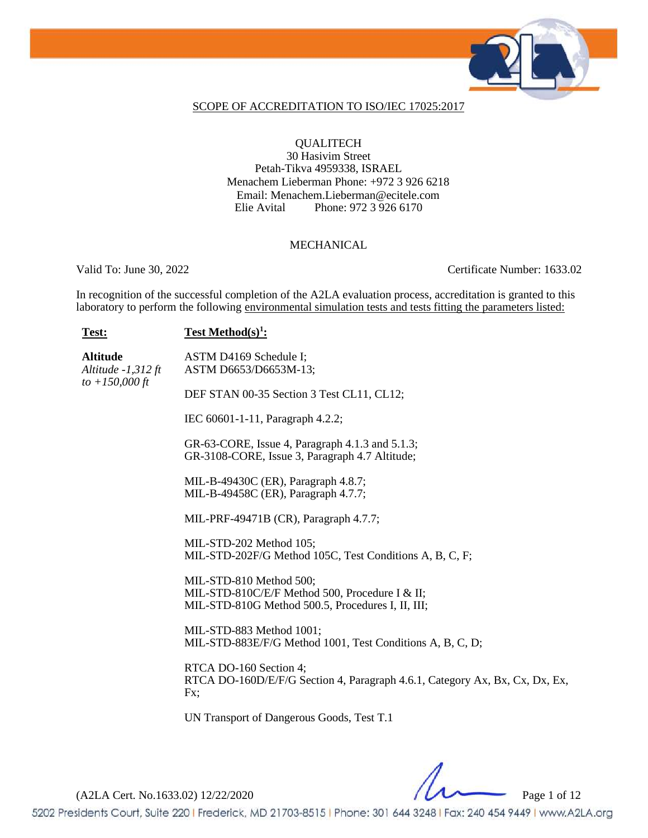

### SCOPE OF ACCREDITATION TO ISO/IEC 17025:2017

# **QUALITECH** 30 Hasivim Street Petah-Tikva 4959338, ISRAEL Menachem Lieberman Phone: +972 3 926 6218 Email: Menachem.Lieberman@ecitele.com Elie Avital Phone: 972 3 926 6170

#### MECHANICAL

Valid To: June 30, 2022 Certificate Number: 1633.02

In recognition of the successful completion of the A2LA evaluation process, accreditation is granted to this laboratory to perform the following environmental simulation tests and tests fitting the parameters listed:

### **Test: Test Method(s)<sup>1</sup> :**

**Altitude** *Altitude -1,312 ft to +150,000 ft*

ASTM D4169 Schedule I; ASTM D6653/D6653M-13;

DEF STAN 00-35 Section 3 Test CL11, CL12;

IEC 60601-1-11, Paragraph 4.2.2;

GR-63-CORE, Issue 4, Paragraph 4.1.3 and 5.1.3; GR-3108-CORE, Issue 3, Paragraph 4.7 Altitude;

MIL-B-49430C (ER), Paragraph 4.8.7; MIL-B-49458C (ER), Paragraph 4.7.7;

MIL-PRF-49471B (CR), Paragraph 4.7.7;

MIL-STD-202 Method 105; MIL-STD-202F/G Method 105C, Test Conditions A, B, C, F;

MIL-STD-810 Method 500; MIL-STD-810C/E/F Method 500, Procedure I & II; MIL-STD-810G Method 500.5, Procedures I, II, III;

MIL-STD-883 Method 1001; MIL-STD-883E/F/G Method 1001, Test Conditions A, B, C, D;

RTCA DO-160 Section 4; RTCA DO-160D/E/F/G Section 4, Paragraph 4.6.1, Category Ax, Bx, Cx, Dx, Ex, Fx;

UN Transport of Dangerous Goods, Test T.1

(A2LA Cert. No.1633.02) 12/22/2020 Page 1 of 12

5202 Presidents Court, Suite 220 | Frederick, MD 21703-8515 | Phone: 301 644 3248 | Fax: 240 454 9449 | www.A2LA.org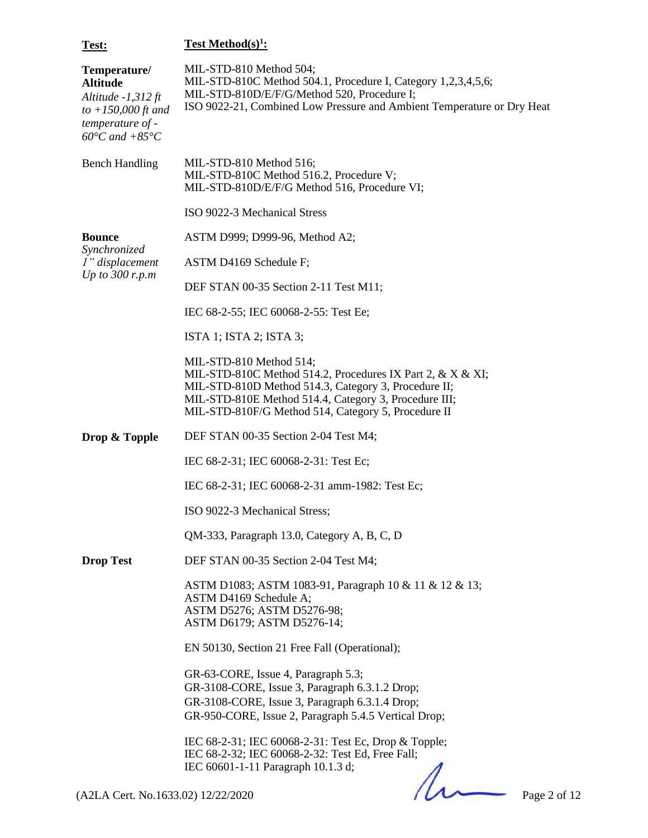| Test:                                                                                                                                           | <b>Test Method(s)<sup>1</sup>:</b>                                                                                                                                                                                                                            |              |
|-------------------------------------------------------------------------------------------------------------------------------------------------|---------------------------------------------------------------------------------------------------------------------------------------------------------------------------------------------------------------------------------------------------------------|--------------|
| Temperature/<br><b>Altitude</b><br>Altitude -1,312 ft<br>$to +150,000 \text{ ft}$ and<br>temperature of -<br>$60^{\circ}$ C and $+85^{\circ}$ C | MIL-STD-810 Method 504;<br>MIL-STD-810C Method 504.1, Procedure I, Category 1,2,3,4,5,6;<br>MIL-STD-810D/E/F/G/Method 520, Procedure I;<br>ISO 9022-21, Combined Low Pressure and Ambient Temperature or Dry Heat                                             |              |
| <b>Bench Handling</b>                                                                                                                           | MIL-STD-810 Method 516;<br>MIL-STD-810C Method 516.2, Procedure V;<br>MIL-STD-810D/E/F/G Method 516, Procedure VI;                                                                                                                                            |              |
|                                                                                                                                                 | ISO 9022-3 Mechanical Stress                                                                                                                                                                                                                                  |              |
| <b>Bounce</b>                                                                                                                                   | ASTM D999; D999-96, Method A2;                                                                                                                                                                                                                                |              |
| Synchronized<br>1" displacement                                                                                                                 | ASTM D4169 Schedule F;                                                                                                                                                                                                                                        |              |
| Up to $300$ r.p.m                                                                                                                               | DEF STAN 00-35 Section 2-11 Test M11;                                                                                                                                                                                                                         |              |
|                                                                                                                                                 | IEC 68-2-55; IEC 60068-2-55: Test Ee;                                                                                                                                                                                                                         |              |
|                                                                                                                                                 | ISTA 1; ISTA 2; ISTA 3;                                                                                                                                                                                                                                       |              |
|                                                                                                                                                 | MIL-STD-810 Method 514;<br>MIL-STD-810C Method 514.2, Procedures IX Part 2, & X & XI;<br>MIL-STD-810D Method 514.3, Category 3, Procedure II;<br>MIL-STD-810E Method 514.4, Category 3, Procedure III;<br>MIL-STD-810F/G Method 514, Category 5, Procedure II |              |
| Drop & Topple                                                                                                                                   | DEF STAN 00-35 Section 2-04 Test M4;                                                                                                                                                                                                                          |              |
|                                                                                                                                                 | IEC 68-2-31; IEC 60068-2-31: Test Ec;                                                                                                                                                                                                                         |              |
|                                                                                                                                                 | IEC 68-2-31; IEC 60068-2-31 amm-1982: Test Ec;                                                                                                                                                                                                                |              |
|                                                                                                                                                 | ISO 9022-3 Mechanical Stress;                                                                                                                                                                                                                                 |              |
|                                                                                                                                                 | QM-333, Paragraph 13.0, Category A, B, C, D                                                                                                                                                                                                                   |              |
| <b>Drop Test</b>                                                                                                                                | DEF STAN 00-35 Section 2-04 Test M4;                                                                                                                                                                                                                          |              |
|                                                                                                                                                 | ASTM D1083; ASTM 1083-91, Paragraph 10 & 11 & 12 & 13;<br>ASTM D4169 Schedule A;<br>ASTM D5276; ASTM D5276-98;<br>ASTM D6179; ASTM D5276-14;                                                                                                                  |              |
|                                                                                                                                                 | EN 50130, Section 21 Free Fall (Operational);                                                                                                                                                                                                                 |              |
|                                                                                                                                                 | GR-63-CORE, Issue 4, Paragraph 5.3;<br>GR-3108-CORE, Issue 3, Paragraph 6.3.1.2 Drop;<br>GR-3108-CORE, Issue 3, Paragraph 6.3.1.4 Drop;<br>GR-950-CORE, Issue 2, Paragraph 5.4.5 Vertical Drop;                                                               |              |
|                                                                                                                                                 | IEC 68-2-31; IEC 60068-2-31: Test Ec, Drop & Topple;<br>IEC 68-2-32; IEC 60068-2-32: Test Ed, Free Fall;<br>IEC 60601-1-11 Paragraph 10.1.3 d;                                                                                                                |              |
| (A2LA Cert. No.1633.02) 12/22/2020                                                                                                              |                                                                                                                                                                                                                                                               | Page 2 of 12 |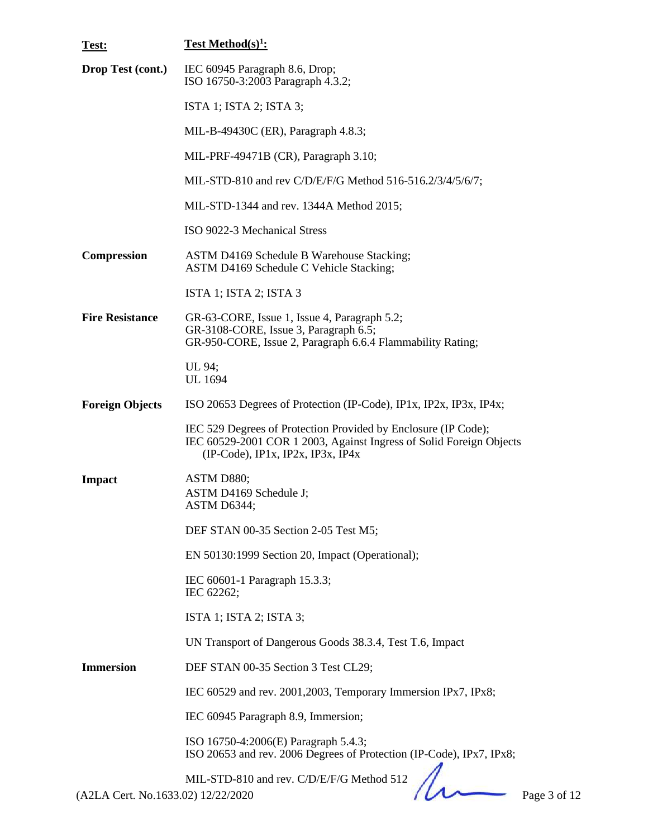| Test:                              | <b>Test Method(s)<sup>1</sup>:</b>                                                                                                                                           |
|------------------------------------|------------------------------------------------------------------------------------------------------------------------------------------------------------------------------|
| Drop Test (cont.)                  | IEC 60945 Paragraph 8.6, Drop;<br>ISO 16750-3:2003 Paragraph 4.3.2;                                                                                                          |
|                                    | ISTA 1; ISTA 2; ISTA 3;                                                                                                                                                      |
|                                    | MIL-B-49430C (ER), Paragraph 4.8.3;                                                                                                                                          |
|                                    | MIL-PRF-49471B (CR), Paragraph 3.10;                                                                                                                                         |
|                                    | MIL-STD-810 and rev C/D/E/F/G Method 516-516.2/3/4/5/6/7;                                                                                                                    |
|                                    | MIL-STD-1344 and rev. 1344A Method 2015;                                                                                                                                     |
|                                    | ISO 9022-3 Mechanical Stress                                                                                                                                                 |
| Compression                        | ASTM D4169 Schedule B Warehouse Stacking;<br>ASTM D4169 Schedule C Vehicle Stacking;                                                                                         |
|                                    | ISTA 1; ISTA 2; ISTA 3                                                                                                                                                       |
| <b>Fire Resistance</b>             | GR-63-CORE, Issue 1, Issue 4, Paragraph 5.2;<br>GR-3108-CORE, Issue 3, Paragraph 6.5;<br>GR-950-CORE, Issue 2, Paragraph 6.6.4 Flammability Rating;                          |
|                                    | UL 94;<br><b>UL</b> 1694                                                                                                                                                     |
| <b>Foreign Objects</b>             | ISO 20653 Degrees of Protection (IP-Code), IP1x, IP2x, IP3x, IP4x;                                                                                                           |
|                                    | IEC 529 Degrees of Protection Provided by Enclosure (IP Code);<br>IEC 60529-2001 COR 1 2003, Against Ingress of Solid Foreign Objects<br>$(IP-Code), IP1x, IP2x, IP3x, IP4x$ |
| <b>Impact</b>                      | ASTM D880;<br>ASTM D4169 Schedule J;<br>ASTM D6344;                                                                                                                          |
|                                    | DEF STAN 00-35 Section 2-05 Test M5;                                                                                                                                         |
|                                    | EN 50130:1999 Section 20, Impact (Operational);                                                                                                                              |
|                                    | IEC 60601-1 Paragraph 15.3.3;<br>IEC 62262;                                                                                                                                  |
|                                    | ISTA 1; ISTA 2; ISTA 3;                                                                                                                                                      |
|                                    | UN Transport of Dangerous Goods 38.3.4, Test T.6, Impact                                                                                                                     |
| <b>Immersion</b>                   | DEF STAN 00-35 Section 3 Test CL29;                                                                                                                                          |
|                                    | IEC 60529 and rev. 2001, 2003, Temporary Immersion IPx7, IPx8;                                                                                                               |
|                                    | IEC 60945 Paragraph 8.9, Immersion;                                                                                                                                          |
|                                    | ISO 16750-4:2006(E) Paragraph 5.4.3;<br>ISO 20653 and rev. 2006 Degrees of Protection (IP-Code), IPx7, IPx8;                                                                 |
| (A2LA Cert. No.1633.02) 12/22/2020 | MIL-STD-810 and rev. C/D/E/F/G Method 512<br>Page 3 of 12                                                                                                                    |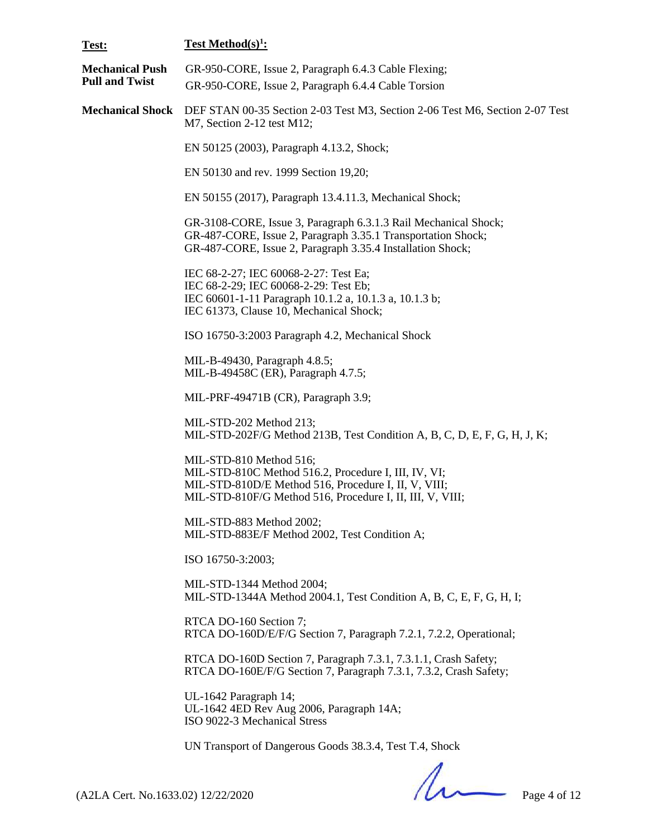| Test:                                           | Test Method(s) <sup>1</sup> :                                                                                                                                                                        |
|-------------------------------------------------|------------------------------------------------------------------------------------------------------------------------------------------------------------------------------------------------------|
| <b>Mechanical Push</b><br><b>Pull and Twist</b> | GR-950-CORE, Issue 2, Paragraph 6.4.3 Cable Flexing;<br>GR-950-CORE, Issue 2, Paragraph 6.4.4 Cable Torsion                                                                                          |
| <b>Mechanical Shock</b>                         | DEF STAN 00-35 Section 2-03 Test M3, Section 2-06 Test M6, Section 2-07 Test<br>M7, Section 2-12 test M12;                                                                                           |
|                                                 | EN 50125 (2003), Paragraph 4.13.2, Shock;                                                                                                                                                            |
|                                                 | EN 50130 and rev. 1999 Section 19,20;                                                                                                                                                                |
|                                                 | EN 50155 (2017), Paragraph 13.4.11.3, Mechanical Shock;                                                                                                                                              |
|                                                 | GR-3108-CORE, Issue 3, Paragraph 6.3.1.3 Rail Mechanical Shock;<br>GR-487-CORE, Issue 2, Paragraph 3.35.1 Transportation Shock;<br>GR-487-CORE, Issue 2, Paragraph 3.35.4 Installation Shock;        |
|                                                 | IEC 68-2-27; IEC 60068-2-27: Test Ea;<br>IEC 68-2-29; IEC 60068-2-29: Test Eb;<br>IEC 60601-1-11 Paragraph 10.1.2 a, 10.1.3 a, 10.1.3 b;<br>IEC 61373, Clause 10, Mechanical Shock;                  |
|                                                 | ISO 16750-3:2003 Paragraph 4.2, Mechanical Shock                                                                                                                                                     |
|                                                 | MIL-B-49430, Paragraph 4.8.5;<br>MIL-B-49458C (ER), Paragraph 4.7.5;                                                                                                                                 |
|                                                 | MIL-PRF-49471B (CR), Paragraph 3.9;                                                                                                                                                                  |
|                                                 | MIL-STD-202 Method 213;<br>MIL-STD-202F/G Method 213B, Test Condition A, B, C, D, E, F, G, H, J, K;                                                                                                  |
|                                                 | MIL-STD-810 Method 516;<br>MIL-STD-810C Method 516.2, Procedure I, III, IV, VI;<br>MIL-STD-810D/E Method 516, Procedure I, II, V, VIII;<br>MIL-STD-810F/G Method 516, Procedure I, II, III, V, VIII; |
|                                                 | MIL-STD-883 Method 2002;<br>MIL-STD-883E/F Method 2002, Test Condition A;                                                                                                                            |
|                                                 | ISO 16750-3:2003;                                                                                                                                                                                    |
|                                                 | MIL-STD-1344 Method 2004;<br>MIL-STD-1344A Method 2004.1, Test Condition A, B, C, E, F, G, H, I;                                                                                                     |
|                                                 | RTCA DO-160 Section 7;<br>RTCA DO-160D/E/F/G Section 7, Paragraph 7.2.1, 7.2.2, Operational;                                                                                                         |
|                                                 | RTCA DO-160D Section 7, Paragraph 7.3.1, 7.3.1.1, Crash Safety;<br>RTCA DO-160E/F/G Section 7, Paragraph 7.3.1, 7.3.2, Crash Safety;                                                                 |
|                                                 | UL-1642 Paragraph 14;<br>UL-1642 4ED Rev Aug 2006, Paragraph 14A;<br>ISO 9022-3 Mechanical Stress                                                                                                    |
|                                                 | UN Transport of Dangerous Goods 38.3.4, Test T.4, Shock                                                                                                                                              |

 $(A2LA$  Cert. No.1633.02) 12/22/2020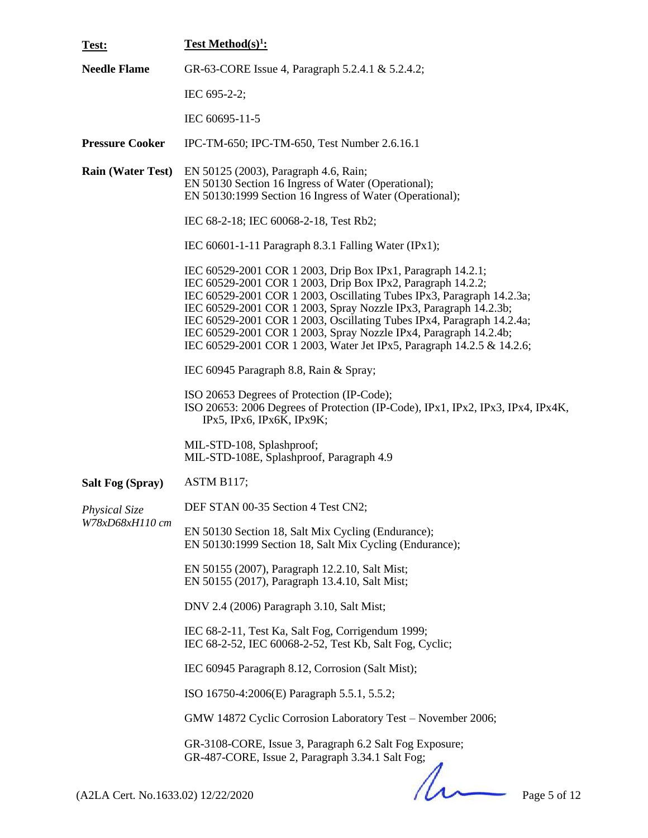| Test:                              | <u>Test Method(s)<sup>1</sup>:</u>                                                                                                                                                                                                                                                                                                                                                                                                                                                            |  |
|------------------------------------|-----------------------------------------------------------------------------------------------------------------------------------------------------------------------------------------------------------------------------------------------------------------------------------------------------------------------------------------------------------------------------------------------------------------------------------------------------------------------------------------------|--|
| <b>Needle Flame</b>                | GR-63-CORE Issue 4, Paragraph 5.2.4.1 & 5.2.4.2;                                                                                                                                                                                                                                                                                                                                                                                                                                              |  |
|                                    | IEC 695-2-2;                                                                                                                                                                                                                                                                                                                                                                                                                                                                                  |  |
|                                    | IEC 60695-11-5                                                                                                                                                                                                                                                                                                                                                                                                                                                                                |  |
| <b>Pressure Cooker</b>             | IPC-TM-650; IPC-TM-650, Test Number 2.6.16.1                                                                                                                                                                                                                                                                                                                                                                                                                                                  |  |
| <b>Rain (Water Test)</b>           | EN 50125 (2003), Paragraph 4.6, Rain;<br>EN 50130 Section 16 Ingress of Water (Operational);<br>EN 50130:1999 Section 16 Ingress of Water (Operational);                                                                                                                                                                                                                                                                                                                                      |  |
|                                    | IEC 68-2-18; IEC 60068-2-18, Test Rb2;                                                                                                                                                                                                                                                                                                                                                                                                                                                        |  |
|                                    | IEC 60601-1-11 Paragraph 8.3.1 Falling Water (IPx1);                                                                                                                                                                                                                                                                                                                                                                                                                                          |  |
|                                    | IEC 60529-2001 COR 1 2003, Drip Box IPx1, Paragraph 14.2.1;<br>IEC 60529-2001 COR 1 2003, Drip Box IPx2, Paragraph 14.2.2;<br>IEC 60529-2001 COR 1 2003, Oscillating Tubes IPx3, Paragraph 14.2.3a;<br>IEC 60529-2001 COR 1 2003, Spray Nozzle IPx3, Paragraph 14.2.3b;<br>IEC 60529-2001 COR 1 2003, Oscillating Tubes IPx4, Paragraph 14.2.4a;<br>IEC 60529-2001 COR 1 2003, Spray Nozzle IPx4, Paragraph 14.2.4b;<br>IEC 60529-2001 COR 1 2003, Water Jet IPx5, Paragraph 14.2.5 & 14.2.6; |  |
|                                    | IEC 60945 Paragraph 8.8, Rain & Spray;                                                                                                                                                                                                                                                                                                                                                                                                                                                        |  |
|                                    | ISO 20653 Degrees of Protection (IP-Code);<br>ISO 20653: 2006 Degrees of Protection (IP-Code), IPx1, IPx2, IPx3, IPx4, IPx4K,<br>IPx5, IPx6, IPx6K, IPx9K;                                                                                                                                                                                                                                                                                                                                    |  |
|                                    | MIL-STD-108, Splashproof;<br>MIL-STD-108E, Splashproof, Paragraph 4.9                                                                                                                                                                                                                                                                                                                                                                                                                         |  |
| <b>Salt Fog (Spray)</b>            | ASTM B117;                                                                                                                                                                                                                                                                                                                                                                                                                                                                                    |  |
| Physical Size                      | DEF STAN 00-35 Section 4 Test CN2;                                                                                                                                                                                                                                                                                                                                                                                                                                                            |  |
| W78xD68xH110 cm                    | EN 50130 Section 18, Salt Mix Cycling (Endurance);<br>EN 50130:1999 Section 18, Salt Mix Cycling (Endurance);                                                                                                                                                                                                                                                                                                                                                                                 |  |
|                                    | EN 50155 (2007), Paragraph 12.2.10, Salt Mist;<br>EN 50155 (2017), Paragraph 13.4.10, Salt Mist;                                                                                                                                                                                                                                                                                                                                                                                              |  |
|                                    | DNV 2.4 (2006) Paragraph 3.10, Salt Mist;                                                                                                                                                                                                                                                                                                                                                                                                                                                     |  |
|                                    | IEC 68-2-11, Test Ka, Salt Fog, Corrigendum 1999;<br>IEC 68-2-52, IEC 60068-2-52, Test Kb, Salt Fog, Cyclic;                                                                                                                                                                                                                                                                                                                                                                                  |  |
|                                    | IEC 60945 Paragraph 8.12, Corrosion (Salt Mist);                                                                                                                                                                                                                                                                                                                                                                                                                                              |  |
|                                    | ISO 16750-4:2006(E) Paragraph 5.5.1, 5.5.2;                                                                                                                                                                                                                                                                                                                                                                                                                                                   |  |
|                                    | GMW 14872 Cyclic Corrosion Laboratory Test – November 2006;                                                                                                                                                                                                                                                                                                                                                                                                                                   |  |
|                                    | GR-3108-CORE, Issue 3, Paragraph 6.2 Salt Fog Exposure;<br>GR-487-CORE, Issue 2, Paragraph 3.34.1 Salt Fog;                                                                                                                                                                                                                                                                                                                                                                                   |  |
| (A2LA Cert. No.1633.02) 12/22/2020 | Page 5 of 12                                                                                                                                                                                                                                                                                                                                                                                                                                                                                  |  |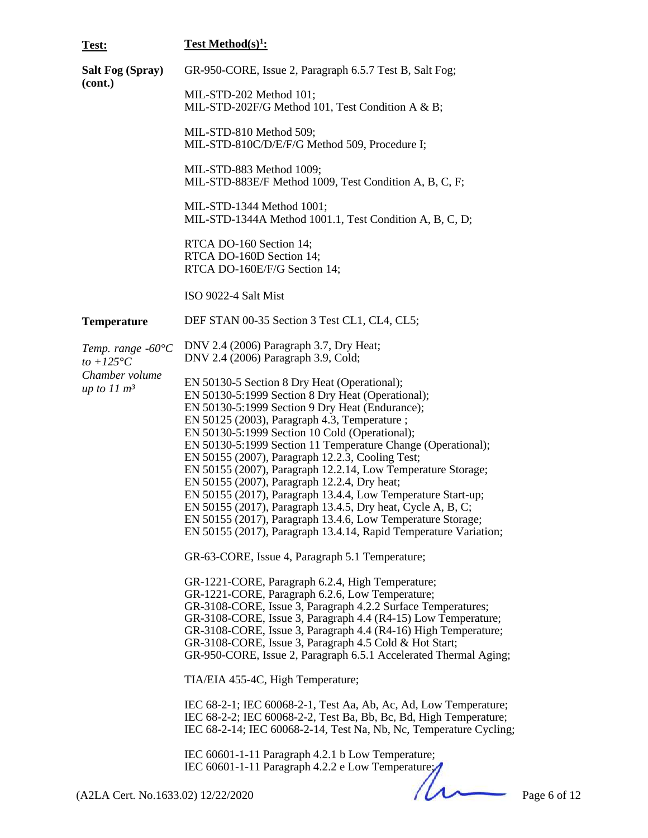| Test:                                                                                    | <u>Test Method(s)<sup>1</sup>:</u>                                                                                                                                                                                                                                                                                                                                                                                                                                                                                                                                                                                                                                                                                                                                                                              |
|------------------------------------------------------------------------------------------|-----------------------------------------------------------------------------------------------------------------------------------------------------------------------------------------------------------------------------------------------------------------------------------------------------------------------------------------------------------------------------------------------------------------------------------------------------------------------------------------------------------------------------------------------------------------------------------------------------------------------------------------------------------------------------------------------------------------------------------------------------------------------------------------------------------------|
| <b>Salt Fog (Spray)</b><br>(cont.)                                                       | GR-950-CORE, Issue 2, Paragraph 6.5.7 Test B, Salt Fog;                                                                                                                                                                                                                                                                                                                                                                                                                                                                                                                                                                                                                                                                                                                                                         |
|                                                                                          | MIL-STD-202 Method 101;<br>MIL-STD-202F/G Method 101, Test Condition A & B;                                                                                                                                                                                                                                                                                                                                                                                                                                                                                                                                                                                                                                                                                                                                     |
|                                                                                          | MIL-STD-810 Method 509;<br>MIL-STD-810C/D/E/F/G Method 509, Procedure I;                                                                                                                                                                                                                                                                                                                                                                                                                                                                                                                                                                                                                                                                                                                                        |
|                                                                                          | MIL-STD-883 Method 1009;<br>MIL-STD-883E/F Method 1009, Test Condition A, B, C, F;                                                                                                                                                                                                                                                                                                                                                                                                                                                                                                                                                                                                                                                                                                                              |
|                                                                                          | MIL-STD-1344 Method 1001;<br>MIL-STD-1344A Method 1001.1, Test Condition A, B, C, D;                                                                                                                                                                                                                                                                                                                                                                                                                                                                                                                                                                                                                                                                                                                            |
|                                                                                          | RTCA DO-160 Section 14;<br>RTCA DO-160D Section 14;<br>RTCA DO-160E/F/G Section 14;                                                                                                                                                                                                                                                                                                                                                                                                                                                                                                                                                                                                                                                                                                                             |
|                                                                                          | ISO 9022-4 Salt Mist                                                                                                                                                                                                                                                                                                                                                                                                                                                                                                                                                                                                                                                                                                                                                                                            |
| <b>Temperature</b>                                                                       | DEF STAN 00-35 Section 3 Test CL1, CL4, CL5;                                                                                                                                                                                                                                                                                                                                                                                                                                                                                                                                                                                                                                                                                                                                                                    |
| Temp. range $-60^{\circ}C$<br>to +125 $\degree$ C<br>Chamber volume<br>up to $11 \, m^3$ | DNV 2.4 (2006) Paragraph 3.7, Dry Heat;<br>DNV 2.4 (2006) Paragraph 3.9, Cold;                                                                                                                                                                                                                                                                                                                                                                                                                                                                                                                                                                                                                                                                                                                                  |
|                                                                                          | EN 50130-5 Section 8 Dry Heat (Operational);<br>EN 50130-5:1999 Section 8 Dry Heat (Operational);<br>EN 50130-5:1999 Section 9 Dry Heat (Endurance);<br>EN 50125 (2003), Paragraph 4.3, Temperature;<br>EN 50130-5:1999 Section 10 Cold (Operational);<br>EN 50130-5:1999 Section 11 Temperature Change (Operational);<br>EN 50155 (2007), Paragraph 12.2.3, Cooling Test;<br>EN 50155 (2007), Paragraph 12.2.14, Low Temperature Storage;<br>EN 50155 (2007), Paragraph 12.2.4, Dry heat;<br>EN 50155 (2017), Paragraph 13.4.4, Low Temperature Start-up;<br>EN 50155 (2017), Paragraph 13.4.5, Dry heat, Cycle A, B, C;<br>EN 50155 (2017), Paragraph 13.4.6, Low Temperature Storage;<br>EN 50155 (2017), Paragraph 13.4.14, Rapid Temperature Variation;<br>GR-63-CORE, Issue 4, Paragraph 5.1 Temperature; |
|                                                                                          | GR-1221-CORE, Paragraph 6.2.4, High Temperature;<br>GR-1221-CORE, Paragraph 6.2.6, Low Temperature;<br>GR-3108-CORE, Issue 3, Paragraph 4.2.2 Surface Temperatures;<br>GR-3108-CORE, Issue 3, Paragraph 4.4 (R4-15) Low Temperature;<br>GR-3108-CORE, Issue 3, Paragraph 4.4 (R4-16) High Temperature;<br>GR-3108-CORE, Issue 3, Paragraph 4.5 Cold & Hot Start;<br>GR-950-CORE, Issue 2, Paragraph 6.5.1 Accelerated Thermal Aging;                                                                                                                                                                                                                                                                                                                                                                            |
|                                                                                          | TIA/EIA 455-4C, High Temperature;                                                                                                                                                                                                                                                                                                                                                                                                                                                                                                                                                                                                                                                                                                                                                                               |
|                                                                                          | IEC 68-2-1; IEC 60068-2-1, Test Aa, Ab, Ac, Ad, Low Temperature;<br>IEC 68-2-2; IEC 60068-2-2, Test Ba, Bb, Bc, Bd, High Temperature;<br>IEC 68-2-14; IEC 60068-2-14, Test Na, Nb, Nc, Temperature Cycling;                                                                                                                                                                                                                                                                                                                                                                                                                                                                                                                                                                                                     |
|                                                                                          | IEC 60601-1-11 Paragraph 4.2.1 b Low Temperature;<br>IEC 60601-1-11 Paragraph 4.2.2 e Low Temperature;                                                                                                                                                                                                                                                                                                                                                                                                                                                                                                                                                                                                                                                                                                          |

(A2LA Cert. No.1633.02) 12/22/2020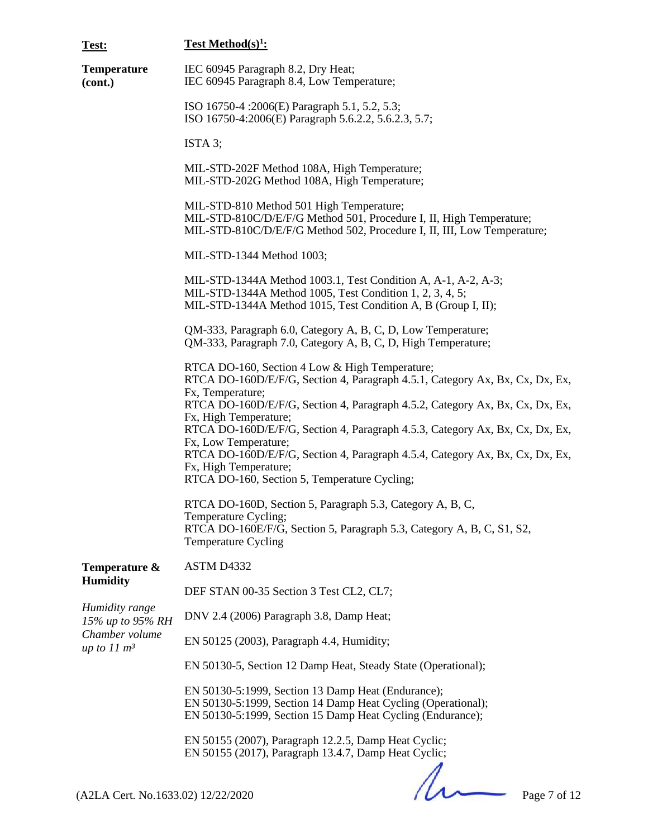| Test:                                                                     | <b>Test Method(s)<sup>1</sup>:</b>                                                                                                                                                                                                                                                                                                                                                                                                                                                                                           |  |
|---------------------------------------------------------------------------|------------------------------------------------------------------------------------------------------------------------------------------------------------------------------------------------------------------------------------------------------------------------------------------------------------------------------------------------------------------------------------------------------------------------------------------------------------------------------------------------------------------------------|--|
| <b>Temperature</b><br>(cont.)                                             | IEC 60945 Paragraph 8.2, Dry Heat;<br>IEC 60945 Paragraph 8.4, Low Temperature;                                                                                                                                                                                                                                                                                                                                                                                                                                              |  |
|                                                                           | ISO 16750-4 :2006(E) Paragraph 5.1, 5.2, 5.3;<br>ISO 16750-4:2006(E) Paragraph 5.6.2.2, 5.6.2.3, 5.7;                                                                                                                                                                                                                                                                                                                                                                                                                        |  |
|                                                                           | ISTA $3$ ;                                                                                                                                                                                                                                                                                                                                                                                                                                                                                                                   |  |
|                                                                           | MIL-STD-202F Method 108A, High Temperature;<br>MIL-STD-202G Method 108A, High Temperature;                                                                                                                                                                                                                                                                                                                                                                                                                                   |  |
|                                                                           | MIL-STD-810 Method 501 High Temperature;<br>MIL-STD-810C/D/E/F/G Method 501, Procedure I, II, High Temperature;<br>MIL-STD-810C/D/E/F/G Method 502, Procedure I, II, III, Low Temperature;                                                                                                                                                                                                                                                                                                                                   |  |
|                                                                           | MIL-STD-1344 Method 1003;                                                                                                                                                                                                                                                                                                                                                                                                                                                                                                    |  |
|                                                                           | MIL-STD-1344A Method 1003.1, Test Condition A, A-1, A-2, A-3;<br>MIL-STD-1344A Method 1005, Test Condition 1, 2, 3, 4, 5;<br>MIL-STD-1344A Method 1015, Test Condition A, B (Group I, II);                                                                                                                                                                                                                                                                                                                                   |  |
|                                                                           | QM-333, Paragraph 6.0, Category A, B, C, D, Low Temperature;<br>QM-333, Paragraph 7.0, Category A, B, C, D, High Temperature;                                                                                                                                                                                                                                                                                                                                                                                                |  |
|                                                                           | RTCA DO-160, Section 4 Low & High Temperature;<br>RTCA DO-160D/E/F/G, Section 4, Paragraph 4.5.1, Category Ax, Bx, Cx, Dx, Ex,<br>Fx, Temperature;<br>RTCA DO-160D/E/F/G, Section 4, Paragraph 4.5.2, Category Ax, Bx, Cx, Dx, Ex,<br>Fx, High Temperature;<br>RTCA DO-160D/E/F/G, Section 4, Paragraph 4.5.3, Category Ax, Bx, Cx, Dx, Ex,<br>Fx, Low Temperature;<br>RTCA DO-160D/E/F/G, Section 4, Paragraph 4.5.4, Category Ax, Bx, Cx, Dx, Ex,<br>Fx, High Temperature;<br>RTCA DO-160, Section 5, Temperature Cycling; |  |
|                                                                           | RTCA DO-160D, Section 5, Paragraph 5.3, Category A, B, C,<br>Temperature Cycling;<br>RTCA DO-160E/F/G, Section 5, Paragraph 5.3, Category A, B, C, S1, S2,<br><b>Temperature Cycling</b>                                                                                                                                                                                                                                                                                                                                     |  |
| Temperature &<br><b>Humidity</b>                                          | ASTM D4332                                                                                                                                                                                                                                                                                                                                                                                                                                                                                                                   |  |
|                                                                           | DEF STAN 00-35 Section 3 Test CL2, CL7;                                                                                                                                                                                                                                                                                                                                                                                                                                                                                      |  |
| Humidity range<br>15% up to 95% RH<br>Chamber volume<br>up to $11 \, m^3$ | DNV 2.4 (2006) Paragraph 3.8, Damp Heat;                                                                                                                                                                                                                                                                                                                                                                                                                                                                                     |  |
|                                                                           | EN 50125 (2003), Paragraph 4.4, Humidity;                                                                                                                                                                                                                                                                                                                                                                                                                                                                                    |  |
|                                                                           | EN 50130-5, Section 12 Damp Heat, Steady State (Operational);                                                                                                                                                                                                                                                                                                                                                                                                                                                                |  |
|                                                                           | EN 50130-5:1999, Section 13 Damp Heat (Endurance);<br>EN 50130-5:1999, Section 14 Damp Heat Cycling (Operational);<br>EN 50130-5:1999, Section 15 Damp Heat Cycling (Endurance);                                                                                                                                                                                                                                                                                                                                             |  |
|                                                                           | EN 50155 (2007), Paragraph 12.2.5, Damp Heat Cyclic;<br>EN 50155 (2017), Paragraph 13.4.7, Damp Heat Cyclic;                                                                                                                                                                                                                                                                                                                                                                                                                 |  |
| (A2LA Cert. No.1633.02) 12/22/2020                                        | Page 7 of 12                                                                                                                                                                                                                                                                                                                                                                                                                                                                                                                 |  |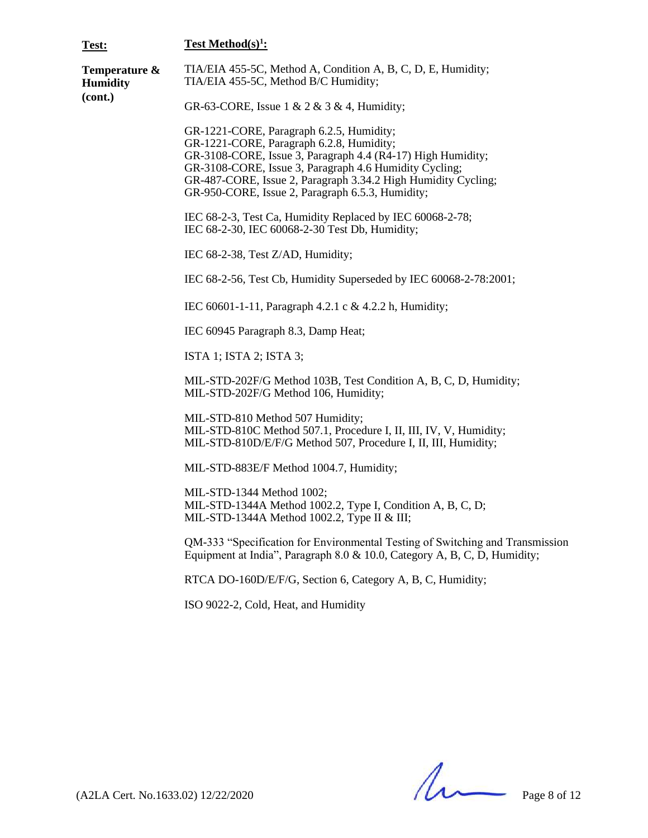| Test Method $(s)^1$ :                                                                                                                                                                                                                                                                                                              |
|------------------------------------------------------------------------------------------------------------------------------------------------------------------------------------------------------------------------------------------------------------------------------------------------------------------------------------|
| TIA/EIA 455-5C, Method A, Condition A, B, C, D, E, Humidity;<br>TIA/EIA 455-5C, Method B/C Humidity;                                                                                                                                                                                                                               |
| GR-63-CORE, Issue 1 & 2 & 3 & 4, Humidity;                                                                                                                                                                                                                                                                                         |
| GR-1221-CORE, Paragraph 6.2.5, Humidity;<br>GR-1221-CORE, Paragraph 6.2.8, Humidity;<br>GR-3108-CORE, Issue 3, Paragraph 4.4 (R4-17) High Humidity;<br>GR-3108-CORE, Issue 3, Paragraph 4.6 Humidity Cycling;<br>GR-487-CORE, Issue 2, Paragraph 3.34.2 High Humidity Cycling;<br>GR-950-CORE, Issue 2, Paragraph 6.5.3, Humidity; |
| IEC 68-2-3, Test Ca, Humidity Replaced by IEC 60068-2-78;<br>IEC 68-2-30, IEC 60068-2-30 Test Db, Humidity;                                                                                                                                                                                                                        |
| IEC 68-2-38, Test Z/AD, Humidity;                                                                                                                                                                                                                                                                                                  |
| IEC 68-2-56, Test Cb, Humidity Superseded by IEC 60068-2-78:2001;                                                                                                                                                                                                                                                                  |
| IEC 60601-1-11, Paragraph 4.2.1 c & 4.2.2 h, Humidity;                                                                                                                                                                                                                                                                             |
| IEC 60945 Paragraph 8.3, Damp Heat;                                                                                                                                                                                                                                                                                                |
| ISTA 1; ISTA 2; ISTA 3;                                                                                                                                                                                                                                                                                                            |
| MIL-STD-202F/G Method 103B, Test Condition A, B, C, D, Humidity;<br>MIL-STD-202F/G Method 106, Humidity;                                                                                                                                                                                                                           |
| MIL-STD-810 Method 507 Humidity;<br>MIL-STD-810C Method 507.1, Procedure I, II, III, IV, V, Humidity;<br>MIL-STD-810D/E/F/G Method 507, Procedure I, II, III, Humidity;                                                                                                                                                            |
| MIL-STD-883E/F Method 1004.7, Humidity;                                                                                                                                                                                                                                                                                            |
| MIL-STD-1344 Method 1002;<br>MIL-STD-1344A Method 1002.2, Type I, Condition A, B, C, D;<br>MIL-STD-1344A Method 1002.2, Type II & III;                                                                                                                                                                                             |
| QM-333 "Specification for Environmental Testing of Switching and Transmission<br>Equipment at India", Paragraph 8.0 & 10.0, Category A, B, C, D, Humidity;                                                                                                                                                                         |
| RTCA DO-160D/E/F/G, Section 6, Category A, B, C, Humidity;                                                                                                                                                                                                                                                                         |
| ISO 9022-2, Cold, Heat, and Humidity                                                                                                                                                                                                                                                                                               |
|                                                                                                                                                                                                                                                                                                                                    |
|                                                                                                                                                                                                                                                                                                                                    |
|                                                                                                                                                                                                                                                                                                                                    |

 $(A2LA$  Cert. No.1633.02) 12/22/2020 Page 8 of 12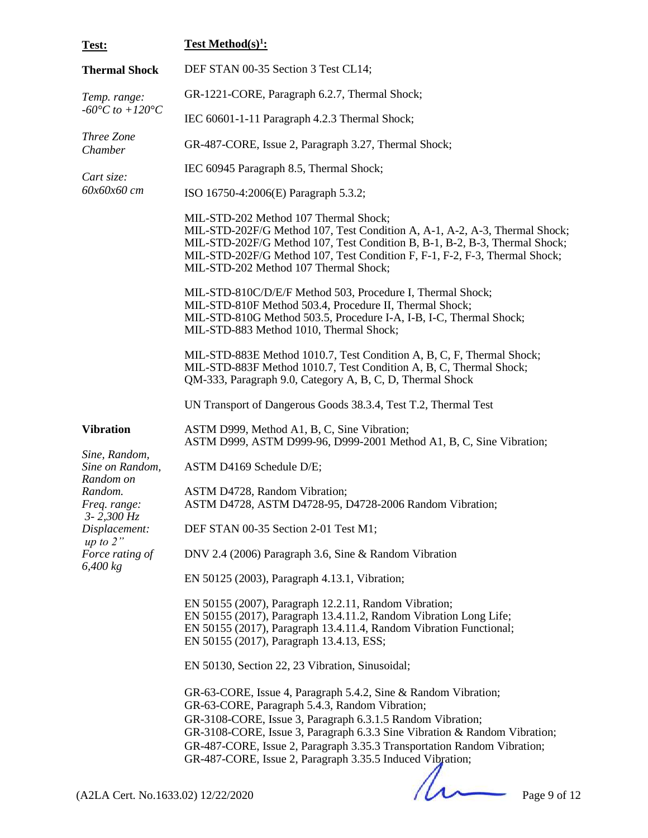| Test:                                             | <b>Test Method(s)<sup>1</sup>:</b>                                                                                                                                                                                                                                                                                                                                                                  |
|---------------------------------------------------|-----------------------------------------------------------------------------------------------------------------------------------------------------------------------------------------------------------------------------------------------------------------------------------------------------------------------------------------------------------------------------------------------------|
| <b>Thermal Shock</b>                              | DEF STAN 00-35 Section 3 Test CL14;                                                                                                                                                                                                                                                                                                                                                                 |
| Temp. range:<br>$-60^{\circ}C$ to $+120^{\circ}C$ | GR-1221-CORE, Paragraph 6.2.7, Thermal Shock;                                                                                                                                                                                                                                                                                                                                                       |
|                                                   | IEC 60601-1-11 Paragraph 4.2.3 Thermal Shock;                                                                                                                                                                                                                                                                                                                                                       |
| Three Zone<br>Chamber                             | GR-487-CORE, Issue 2, Paragraph 3.27, Thermal Shock;                                                                                                                                                                                                                                                                                                                                                |
| Cart size:<br>60х60х60 ст                         | IEC 60945 Paragraph 8.5, Thermal Shock;                                                                                                                                                                                                                                                                                                                                                             |
|                                                   | ISO 16750-4:2006(E) Paragraph 5.3.2;                                                                                                                                                                                                                                                                                                                                                                |
|                                                   | MIL-STD-202 Method 107 Thermal Shock;<br>MIL-STD-202F/G Method 107, Test Condition A, A-1, A-2, A-3, Thermal Shock;<br>MIL-STD-202F/G Method 107, Test Condition B, B-1, B-2, B-3, Thermal Shock;<br>MIL-STD-202F/G Method 107, Test Condition F, F-1, F-2, F-3, Thermal Shock;<br>MIL-STD-202 Method 107 Thermal Shock;                                                                            |
|                                                   | MIL-STD-810C/D/E/F Method 503, Procedure I, Thermal Shock;<br>MIL-STD-810F Method 503.4, Procedure II, Thermal Shock;<br>MIL-STD-810G Method 503.5, Procedure I-A, I-B, I-C, Thermal Shock;<br>MIL-STD-883 Method 1010, Thermal Shock;                                                                                                                                                              |
|                                                   | MIL-STD-883E Method 1010.7, Test Condition A, B, C, F, Thermal Shock;<br>MIL-STD-883F Method 1010.7, Test Condition A, B, C, Thermal Shock;<br>QM-333, Paragraph 9.0, Category A, B, C, D, Thermal Shock                                                                                                                                                                                            |
|                                                   | UN Transport of Dangerous Goods 38.3.4, Test T.2, Thermal Test                                                                                                                                                                                                                                                                                                                                      |
| <b>Vibration</b>                                  | ASTM D999, Method A1, B, C, Sine Vibration;<br>ASTM D999, ASTM D999-96, D999-2001 Method A1, B, C, Sine Vibration;                                                                                                                                                                                                                                                                                  |
| Sine, Random,<br>Sine on Random,<br>Random on     | ASTM D4169 Schedule D/E;                                                                                                                                                                                                                                                                                                                                                                            |
| Random.<br>Freq. range:                           | ASTM D4728, Random Vibration;<br>ASTM D4728, ASTM D4728-95, D4728-2006 Random Vibration;                                                                                                                                                                                                                                                                                                            |
| $3 - 2,300$ Hz<br>Displacement:                   | DEF STAN 00-35 Section 2-01 Test M1;                                                                                                                                                                                                                                                                                                                                                                |
| up to $2"$<br>Force rating of<br>6,400 kg         | DNV 2.4 (2006) Paragraph 3.6, Sine & Random Vibration                                                                                                                                                                                                                                                                                                                                               |
|                                                   | EN 50125 (2003), Paragraph 4.13.1, Vibration;                                                                                                                                                                                                                                                                                                                                                       |
|                                                   | EN 50155 (2007), Paragraph 12.2.11, Random Vibration;<br>EN 50155 (2017), Paragraph 13.4.11.2, Random Vibration Long Life;<br>EN 50155 (2017), Paragraph 13.4.11.4, Random Vibration Functional;<br>EN 50155 (2017), Paragraph 13.4.13, ESS;                                                                                                                                                        |
|                                                   | EN 50130, Section 22, 23 Vibration, Sinusoidal;                                                                                                                                                                                                                                                                                                                                                     |
|                                                   | GR-63-CORE, Issue 4, Paragraph 5.4.2, Sine & Random Vibration;<br>GR-63-CORE, Paragraph 5.4.3, Random Vibration;<br>GR-3108-CORE, Issue 3, Paragraph 6.3.1.5 Random Vibration;<br>GR-3108-CORE, Issue 3, Paragraph 6.3.3 Sine Vibration & Random Vibration;<br>GR-487-CORE, Issue 2, Paragraph 3.35.3 Transportation Random Vibration;<br>GR-487-CORE, Issue 2, Paragraph 3.35.5 Induced Vibration; |

ed Vibration;<br>
Page 9 of 12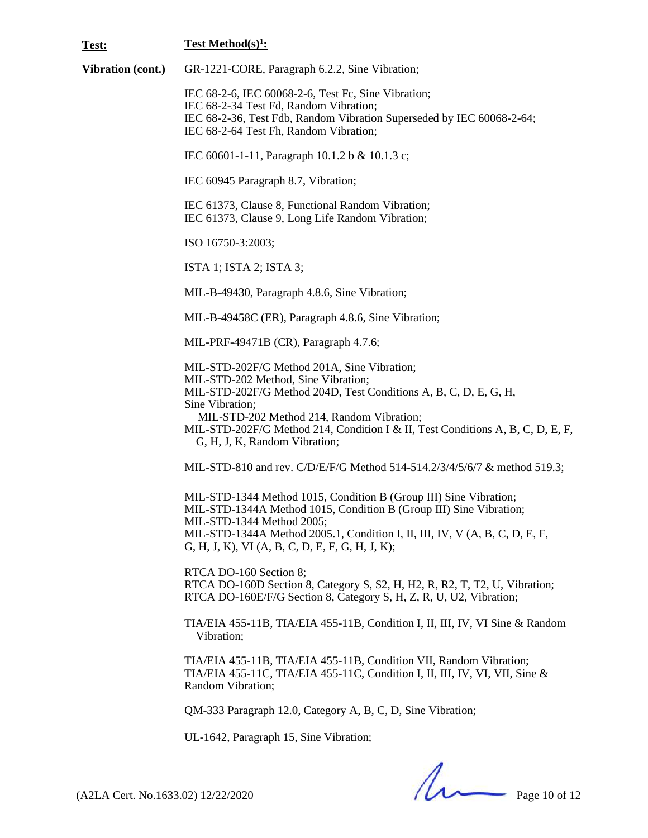| Test:             | <b>Test Method(s)<sup>1</sup>:</b>                                                                                                                                                                                                                                                                                                        |
|-------------------|-------------------------------------------------------------------------------------------------------------------------------------------------------------------------------------------------------------------------------------------------------------------------------------------------------------------------------------------|
| Vibration (cont.) | GR-1221-CORE, Paragraph 6.2.2, Sine Vibration;                                                                                                                                                                                                                                                                                            |
|                   | IEC 68-2-6, IEC 60068-2-6, Test Fc, Sine Vibration;<br>IEC 68-2-34 Test Fd, Random Vibration;<br>IEC 68-2-36, Test Fdb, Random Vibration Superseded by IEC 60068-2-64;<br>IEC 68-2-64 Test Fh, Random Vibration;                                                                                                                          |
|                   | IEC 60601-1-11, Paragraph 10.1.2 b & 10.1.3 c;                                                                                                                                                                                                                                                                                            |
|                   | IEC 60945 Paragraph 8.7, Vibration;                                                                                                                                                                                                                                                                                                       |
|                   | IEC 61373, Clause 8, Functional Random Vibration;<br>IEC 61373, Clause 9, Long Life Random Vibration;                                                                                                                                                                                                                                     |
|                   | ISO 16750-3:2003;                                                                                                                                                                                                                                                                                                                         |
|                   | ISTA 1; ISTA 2; ISTA 3;                                                                                                                                                                                                                                                                                                                   |
|                   | MIL-B-49430, Paragraph 4.8.6, Sine Vibration;                                                                                                                                                                                                                                                                                             |
|                   | MIL-B-49458C (ER), Paragraph 4.8.6, Sine Vibration;                                                                                                                                                                                                                                                                                       |
|                   | MIL-PRF-49471B (CR), Paragraph 4.7.6;                                                                                                                                                                                                                                                                                                     |
|                   | MIL-STD-202F/G Method 201A, Sine Vibration;<br>MIL-STD-202 Method, Sine Vibration;<br>MIL-STD-202F/G Method 204D, Test Conditions A, B, C, D, E, G, H,<br>Sine Vibration;<br>MIL-STD-202 Method 214, Random Vibration;<br>MIL-STD-202F/G Method 214, Condition I & II, Test Conditions A, B, C, D, E, F,<br>G, H, J, K, Random Vibration; |
|                   | MIL-STD-810 and rev. C/D/E/F/G Method 514-514.2/3/4/5/6/7 & method 519.3;                                                                                                                                                                                                                                                                 |
|                   | MIL-STD-1344 Method 1015, Condition B (Group III) Sine Vibration;<br>MIL-STD-1344A Method 1015, Condition B (Group III) Sine Vibration;<br>MIL-STD-1344 Method 2005;<br>MIL-STD-1344A Method 2005.1, Condition I, II, III, IV, V (A, B, C, D, E, F,<br>$G, H, J, K$ , VI $(A, B, C, D, E, F, G, H, J, K)$ ;                               |
|                   | RTCA DO-160 Section 8;<br>RTCA DO-160D Section 8, Category S, S2, H, H2, R, R2, T, T2, U, Vibration;<br>RTCA DO-160E/F/G Section 8, Category S, H, Z, R, U, U2, Vibration;                                                                                                                                                                |
|                   | TIA/EIA 455-11B, TIA/EIA 455-11B, Condition I, II, III, IV, VI Sine & Random<br>Vibration;                                                                                                                                                                                                                                                |
|                   | TIA/EIA 455-11B, TIA/EIA 455-11B, Condition VII, Random Vibration;<br>TIA/EIA 455-11C, TIA/EIA 455-11C, Condition I, II, III, IV, VI, VII, Sine &<br>Random Vibration;                                                                                                                                                                    |
|                   | QM-333 Paragraph 12.0, Category A, B, C, D, Sine Vibration;                                                                                                                                                                                                                                                                               |
|                   | UL-1642, Paragraph 15, Sine Vibration;                                                                                                                                                                                                                                                                                                    |

 $(A2LA$  Cert. No.1633.02) 12/22/2020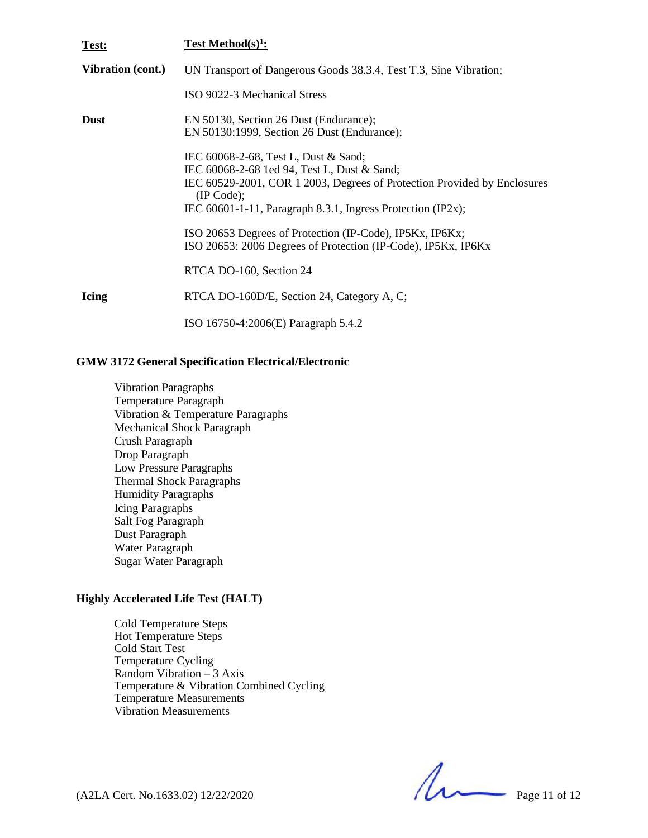| Test:                    | Test Method $(s)^1$ :                                                                                                                                                                                                                        |
|--------------------------|----------------------------------------------------------------------------------------------------------------------------------------------------------------------------------------------------------------------------------------------|
| <b>Vibration (cont.)</b> | UN Transport of Dangerous Goods 38.3.4, Test T.3, Sine Vibration;                                                                                                                                                                            |
|                          | ISO 9022-3 Mechanical Stress                                                                                                                                                                                                                 |
| <b>Dust</b>              | EN 50130, Section 26 Dust (Endurance);<br>EN 50130:1999, Section 26 Dust (Endurance);                                                                                                                                                        |
|                          | IEC 60068-2-68, Test L, Dust & Sand;<br>IEC 60068-2-68 1ed 94, Test L, Dust & Sand;<br>IEC 60529-2001, COR 1 2003, Degrees of Protection Provided by Enclosures<br>(IP Code);<br>IEC 60601-1-11, Paragraph 8.3.1, Ingress Protection (IP2x); |
|                          | ISO 20653 Degrees of Protection (IP-Code), IP5Kx, IP6Kx;<br>ISO 20653: 2006 Degrees of Protection (IP-Code), IP5Kx, IP6Kx                                                                                                                    |
|                          | RTCA DO-160, Section 24                                                                                                                                                                                                                      |
| <b>Icing</b>             | RTCA DO-160D/E, Section 24, Category A, C;                                                                                                                                                                                                   |
|                          | ISO 16750-4:2006(E) Paragraph 5.4.2                                                                                                                                                                                                          |

## **GMW 3172 General Specification Electrical/Electronic**

Vibration Paragraphs Temperature Paragraph Vibration & Temperature Paragraphs Mechanical Shock Paragraph Crush Paragraph Drop Paragraph Low Pressure Paragraphs Thermal Shock Paragraphs Humidity Paragraphs Icing Paragraphs Salt Fog Paragraph Dust Paragraph Water Paragraph Sugar Water Paragraph

# **Highly Accelerated Life Test (HALT)**

Cold Temperature Steps Hot Temperature Steps Cold Start Test Temperature Cycling Random Vibration – 3 Axis Temperature & Vibration Combined Cycling Temperature Measurements Vibration Measurements

(A2LA Cert. No.1633.02) 12/22/2020 Page 11 of 12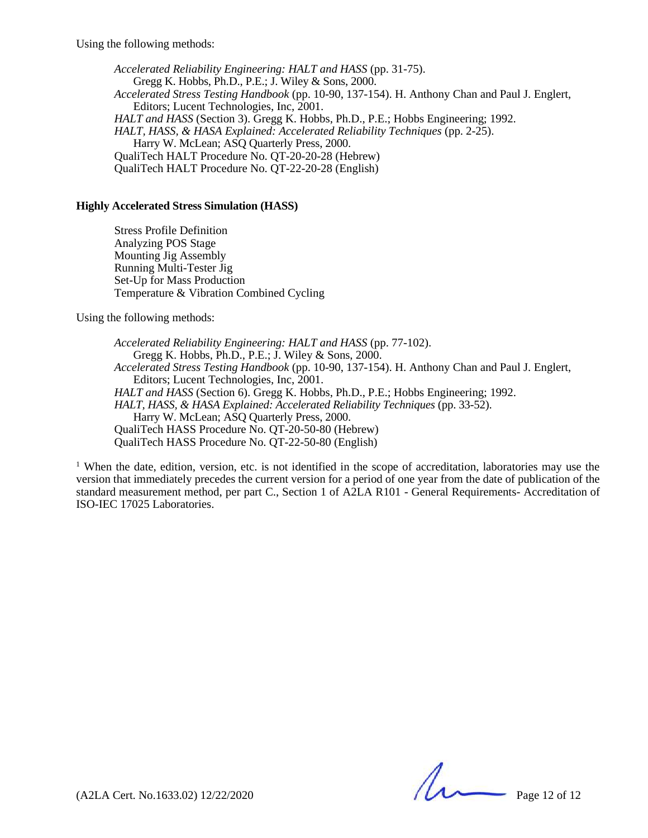*Accelerated Reliability Engineering: HALT and HASS* (pp. 31-75). Gregg K. Hobbs, Ph.D., P.E.; J. Wiley & Sons, 2000. *Accelerated Stress Testing Handbook* (pp. 10-90, 137-154). H. Anthony Chan and Paul J. Englert, Editors; Lucent Technologies, Inc, 2001. *HALT and HASS* (Section 3). Gregg K. Hobbs, Ph.D., P.E.; Hobbs Engineering; 1992. *HALT, HASS, & HASA Explained: Accelerated Reliability Techniques* (pp. 2-25). Harry W. McLean; ASQ Quarterly Press, 2000. QualiTech HALT Procedure No. QT-20-20-28 (Hebrew) QualiTech HALT Procedure No. QT-22-20-28 (English)

#### **Highly Accelerated Stress Simulation (HASS)**

Stress Profile Definition Analyzing POS Stage Mounting Jig Assembly Running Multi-Tester Jig Set-Up for Mass Production Temperature & Vibration Combined Cycling

Using the following methods:

*Accelerated Reliability Engineering: HALT and HASS* (pp. 77-102). Gregg K. Hobbs, Ph.D., P.E.; J. Wiley & Sons, 2000. *Accelerated Stress Testing Handbook* (pp. 10-90, 137-154). H. Anthony Chan and Paul J. Englert, Editors; Lucent Technologies, Inc, 2001. *HALT and HASS* (Section 6). Gregg K. Hobbs, Ph.D., P.E.; Hobbs Engineering; 1992. *HALT, HASS, & HASA Explained: Accelerated Reliability Techniques* (pp. 33-52). Harry W. McLean; ASQ Quarterly Press, 2000. QualiTech HASS Procedure No. QT-20-50-80 (Hebrew) QualiTech HASS Procedure No. QT-22-50-80 (English)

<sup>1</sup> When the date, edition, version, etc. is not identified in the scope of accreditation, laboratories may use the version that immediately precedes the current version for a period of one year from the date of publication of the standard measurement method, per part C., Section 1 of A2LA R101 - General Requirements- Accreditation of ISO-IEC 17025 Laboratories.

(A2LA Cert. No.1633.02) 12/22/2020 Page 12 of 12